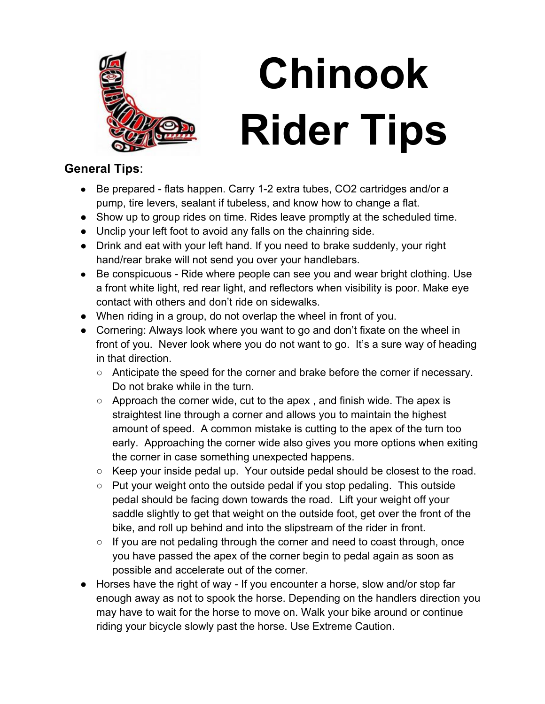

## **Chinook Rider Tips**

## **General Tips**:

- Be prepared flats happen. Carry 1-2 extra tubes, CO2 cartridges and/or a pump, tire levers, sealant if tubeless, and know how to change a flat.
- Show up to group rides on time. Rides leave promptly at the scheduled time.
- Unclip your left foot to avoid any falls on the chainring side.
- Drink and eat with your left hand. If you need to brake suddenly, your right hand/rear brake will not send you over your handlebars.
- Be conspicuous Ride where people can see you and wear bright clothing. Use a front white light, red rear light, and reflectors when visibility is poor. Make eye contact with others and don't ride on sidewalks.
- When riding in a group, do not overlap the wheel in front of you.
- Cornering: Always look where you want to go and don't fixate on the wheel in front of you. Never look where you do not want to go. It's a sure way of heading in that direction.
	- Anticipate the speed for the corner and brake before the corner if necessary. Do not brake while in the turn.
	- Approach the corner wide, cut to the apex, and finish wide. The apex is straightest line through a corner and allows you to maintain the highest amount of speed. A common mistake is cutting to the apex of the turn too early. Approaching the corner wide also gives you more options when exiting the corner in case something unexpected happens.
	- $\circ$  Keep your inside pedal up. Your outside pedal should be closest to the road.
	- Put your weight onto the outside pedal if you stop pedaling. This outside pedal should be facing down towards the road. Lift your weight off your saddle slightly to get that weight on the outside foot, get over the front of the bike, and roll up behind and into the slipstream of the rider in front.
	- $\circ$  If you are not pedaling through the corner and need to coast through, once you have passed the apex of the corner begin to pedal again as soon as possible and accelerate out of the corner.
- Horses have the right of way If you encounter a horse, slow and/or stop far enough away as not to spook the horse. Depending on the handlers direction you may have to wait for the horse to move on. Walk your bike around or continue riding your bicycle slowly past the horse. Use Extreme Caution.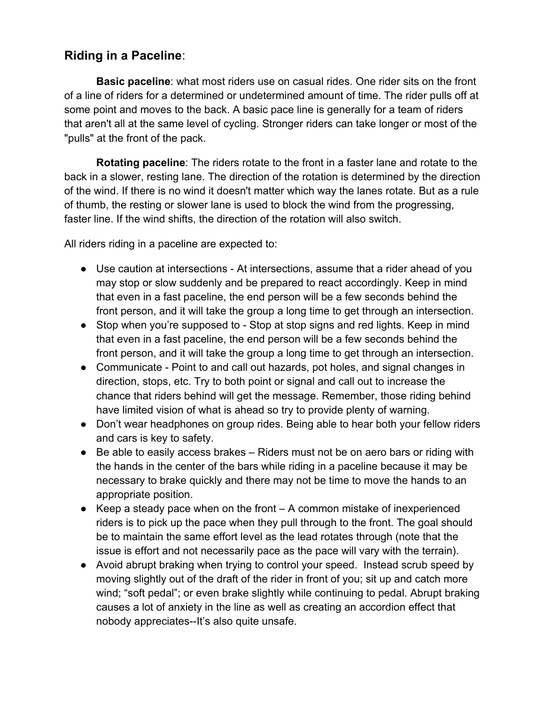## **Riding in a Paceline**:

**Basic paceline**: what most riders use on casual rides. One rider sits on the front of a line of riders for a determined or undetermined amount of time. The rider pulls off at some point and moves to the back. A basic pace line is generally for a team of riders that aren't all at the same level of cycling. Stronger riders can take longer or most of the "pulls" at the front of the pack.

**Rotating paceline**: The riders rotate to the front in a faster lane and rotate to the back in a slower, resting lane. The direction of the rotation is determined by the direction of the wind. If there is no wind it doesn't matter which way the lanes rotate. But as a rule of thumb, the resting or slower lane is used to block the wind from the progressing, faster line. If the wind shifts, the direction of the rotation will also switch.

All riders riding in a paceline are expected to:

- Use caution at intersections At intersections, assume that a rider ahead of you may stop or slow suddenly and be prepared to react accordingly. Keep in mind that even in a fast paceline, the end person will be a few seconds behind the front person, and it will take the group a long time to get through an intersection.
- Stop when you're supposed to Stop at stop signs and red lights. Keep in mind that even in a fast paceline, the end person will be a few seconds behind the front person, and it will take the group a long time to get through an intersection.
- Communicate Point to and call out hazards, pot holes, and signal changes in direction, stops, etc. Try to both point or signal and call out to increase the chance that riders behind will get the message. Remember, those riding behind have limited vision of what is ahead so try to provide plenty of warning.
- Don't wear headphones on group rides. Being able to hear both your fellow riders and cars is key to safety.
- Be able to easily access brakes Riders must not be on aero bars or riding with the hands in the center of the bars while riding in a paceline because it may be necessary to brake quickly and there may not be time to move the hands to an appropriate position.
- $\bullet$  Keep a steady pace when on the front  $-$  A common mistake of inexperienced riders is to pick up the pace when they pull through to the front. The goal should be to maintain the same effort level as the lead rotates through (note that the issue is effort and not necessarily pace as the pace will vary with the terrain).
- Avoid abrupt braking when trying to control your speed. Instead scrub speed by moving slightly out of the draft of the rider in front of you; sit up and catch more wind; "soft pedal"; or even brake slightly while continuing to pedal. Abrupt braking causes a lot of anxiety in the line as well as creating an accordion effect that nobody appreciates--It's also quite unsafe.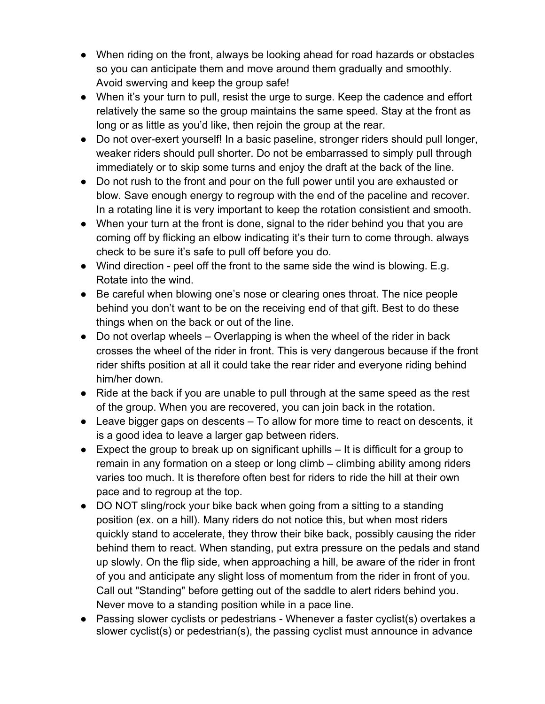- When riding on the front, always be looking ahead for road hazards or obstacles so you can anticipate them and move around them gradually and smoothly. Avoid swerving and keep the group safe!
- When it's your turn to pull, resist the urge to surge. Keep the cadence and effort relatively the same so the group maintains the same speed. Stay at the front as long or as little as you'd like, then rejoin the group at the rear.
- Do not over-exert yourself! In a basic paseline, stronger riders should pull longer, weaker riders should pull shorter. Do not be embarrassed to simply pull through immediately or to skip some turns and enjoy the draft at the back of the line.
- Do not rush to the front and pour on the full power until you are exhausted or blow. Save enough energy to regroup with the end of the paceline and recover. In a rotating line it is very important to keep the rotation consistient and smooth.
- When your turn at the front is done, signal to the rider behind you that you are coming off by flicking an elbow indicating it's their turn to come through. always check to be sure it's safe to pull off before you do.
- Wind direction peel off the front to the same side the wind is blowing. E.g. Rotate into the wind.
- Be careful when blowing one's nose or clearing ones throat. The nice people behind you don't want to be on the receiving end of that gift. Best to do these things when on the back or out of the line.
- Do not overlap wheels Overlapping is when the wheel of the rider in back crosses the wheel of the rider in front. This is very dangerous because if the front rider shifts position at all it could take the rear rider and everyone riding behind him/her down.
- Ride at the back if you are unable to pull through at the same speed as the rest of the group. When you are recovered, you can join back in the rotation.
- Leave bigger gaps on descents To allow for more time to react on descents, it is a good idea to leave a larger gap between riders.
- $\bullet$  Expect the group to break up on significant uphills  $-$  It is difficult for a group to remain in any formation on a steep or long climb – climbing ability among riders varies too much. It is therefore often best for riders to ride the hill at their own pace and to regroup at the top.
- DO NOT sling/rock your bike back when going from a sitting to a standing position (ex. on a hill). Many riders do not notice this, but when most riders quickly stand to accelerate, they throw their bike back, possibly causing the rider behind them to react. When standing, put extra pressure on the pedals and stand up slowly. On the flip side, when approaching a hill, be aware of the rider in front of you and anticipate any slight loss of momentum from the rider in front of you. Call out "Standing" before getting out of the saddle to alert riders behind you. Never move to a standing position while in a pace line.
- Passing slower cyclists or pedestrians Whenever a faster cyclist(s) overtakes a slower cyclist(s) or pedestrian(s), the passing cyclist must announce in advance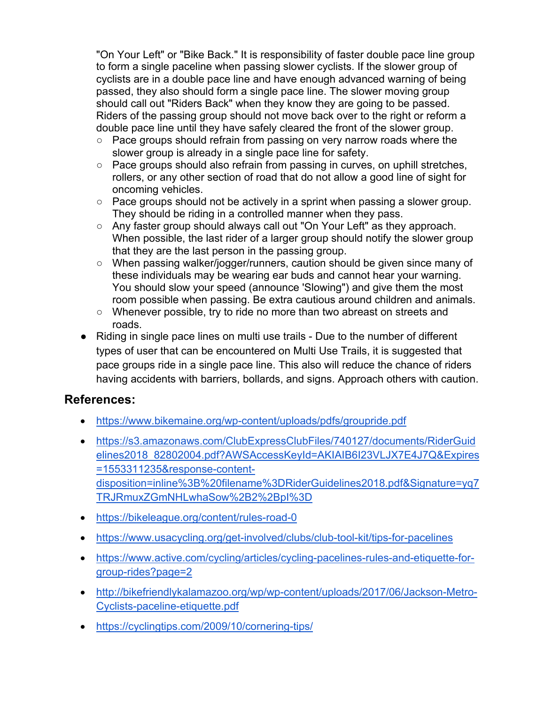"On Your Left" or "Bike Back." It is responsibility of faster double pace line group to form a single paceline when passing slower cyclists. If the slower group of cyclists are in a double pace line and have enough advanced warning of being passed, they also should form a single pace line. The slower moving group should call out "Riders Back" when they know they are going to be passed. Riders of the passing group should not move back over to the right or reform a double pace line until they have safely cleared the front of the slower group.

- Pace groups should refrain from passing on very narrow roads where the slower group is already in a single pace line for safety.
- Pace groups should also refrain from passing in curves, on uphill stretches, rollers, or any other section of road that do not allow a good line of sight for oncoming vehicles.
- Pace groups should not be actively in a sprint when passing a slower group. They should be riding in a controlled manner when they pass.
- Any faster group should always call out "On Your Left" as they approach. When possible, the last rider of a larger group should notify the slower group that they are the last person in the passing group.
- When passing walker/jogger/runners, caution should be given since many of these individuals may be wearing ear buds and cannot hear your warning. You should slow your speed (announce 'Slowing") and give them the most room possible when passing. Be extra cautious around children and animals.
- Whenever possible, try to ride no more than two abreast on streets and roads.
- Riding in single pace lines on multi use trails Due to the number of different types of user that can be encountered on Multi Use Trails, it is suggested that pace groups ride in a single pace line. This also will reduce the chance of riders having accidents with barriers, bollards, and signs. Approach others with caution.

## **References:**

- https://www.bikemaine.org/wp-content/uploads/pdfs/groupride.pdf
- https://s3.amazonaws.com/ClubExpressClubFiles/740127/documents/RiderGuid elines2018\_82802004.pdf?AWSAccessKeyId=AKIAIB6I23VLJX7E4J7Q&Expires =1553311235&response-contentdisposition=inline%3B%20filename%3DRiderGuidelines2018.pdf&Signature=yq7 TRJRmuxZGmNHLwhaSow%2B2%2BpI%3D
- https://bikeleague.org/content/rules-road-0
- https://www.usacycling.org/get-involved/clubs/club-tool-kit/tips-for-pacelines
- https://www.active.com/cycling/articles/cycling-pacelines-rules-and-etiquette-forgroup-rides?page=2
- http://bikefriendlykalamazoo.org/wp/wp-content/uploads/2017/06/Jackson-Metro-Cyclists-paceline-etiquette.pdf
- https://cyclingtips.com/2009/10/cornering-tips/